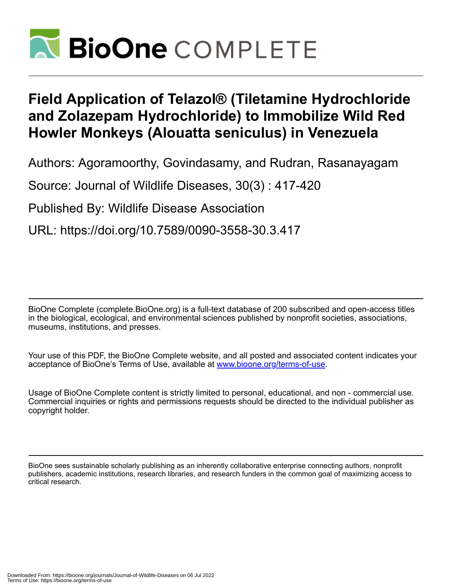

## **Field Application of Telazol® (Tiletamine Hydrochloride and Zolazepam Hydrochloride) to Immobilize Wild Red Howler Monkeys (Alouatta seniculus) in Venezuela**

Authors: Agoramoorthy, Govindasamy, and Rudran, Rasanayagam

Source: Journal of Wildlife Diseases, 30(3) : 417-420

Published By: Wildlife Disease Association

URL: https://doi.org/10.7589/0090-3558-30.3.417

BioOne Complete (complete.BioOne.org) is a full-text database of 200 subscribed and open-access titles in the biological, ecological, and environmental sciences published by nonprofit societies, associations, museums, institutions, and presses.

Your use of this PDF, the BioOne Complete website, and all posted and associated content indicates your acceptance of BioOne's Terms of Use, available at www.bioone.org/terms-of-use.

Usage of BioOne Complete content is strictly limited to personal, educational, and non - commercial use. Commercial inquiries or rights and permissions requests should be directed to the individual publisher as copyright holder.

BioOne sees sustainable scholarly publishing as an inherently collaborative enterprise connecting authors, nonprofit publishers, academic institutions, research libraries, and research funders in the common goal of maximizing access to critical research.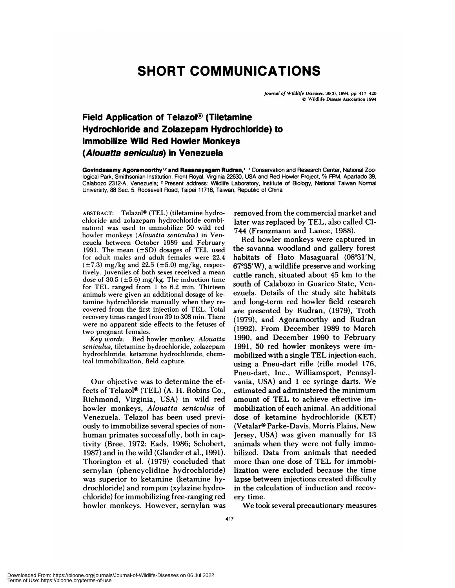## **SHORT COMMUNICATIONS**

Journal of Wildlife Diseases. 30(3). 1994, pp. 417-420 © Wildlife Disease Association 1994

## **Field Application of Telazol<sup>®</sup> (Tiletamine Hydrochloride and Zolazepam Hydrochloride) to Immobilize Wild Red Howler Monkeys (Alouatta seniculus) in Venezuela**

Govindasamy Agoramoorthy<sup>1,2</sup> and Rasanayagam Rudran,<sup>1</sup> ' Conservation and Research Center, National Zoological Park, Smithsonian Institution, Front Royal, Virginia 22630, USA and Red Howler Project, % FPM, Apartado 39, Calabozo 2312-A, Venezuela; **<sup>2</sup>** Present address: Wildlife Laboratory, Institute of Biology, National Taiwan Normal University, 88 Sec. 5, Roosevelt Road, Taipei 11718, Taiwan, Republic of China

ABSTRACT: Telazol® (TEL) (tiletamine hydrochloride and zolazepam hydrochloride combination) was used to immobilize 50 wild red howler monkeys *(Alouatta seniculus)* in Ven ezuela between October 1989 and February 1991. The mean (±SD) dosages of TEL used for adult males and adult females were 22.4  $(\pm 7.3)$  mg/kg and 22.5 ( $\pm 5.0$ ) mg/kg, respectively. Juveniles of both sexes received a mean dose of 30.5 ( $\pm$ 5.6) mg/kg. The induction time for TEL ranged from 1 to 6.2 min. Thirteen animals were given an additional dosage of ketamine hydrochloride manually when they re covered from the first injection of TEL. Total recovery times ranged from 39 to 308 min. There were no apparent side effects to the fetuses of two pregnant females.

*Key words:* Red howler monkey, *Alouatta seniculus,* tiletamine hydrochloride, zolazepam hydrochloride, ketamine hydrochloride, chemical immobilization, field capture.

Our objective was to determine the effects of Telazol® (TEL) (A. H. Robins Co., Richmond, Virginia, USA) in wild red howler monkeys, *Alouatta seniculus* of Venezuela. Telazol has been used previously to immobilize several species of non human primates successfully, both in captivity (Bree, 1972; Eads, 1986; Schobert, 1987) and in the wild (Glanden et al., 1991). Thorington et al. (1979) concluded that sernylan (phencyclidine hydrochloride) was superior to ketamine (ketamine hydrochloride) and rompun (xylazine hydrochloride) for immobilizing free-ranging red howler monkeys. However, sernylan was removed from the commercial market and later was replaced by TEL, also called CI-744 (Franzmann and Lance, 1988).

Red howler monkeys were captured in the savanna woodland and gallery forest habitats of Hato Masaguaral  $(08°31'N,$ 67°35'W), a wildlife preserve and working cattle ranch, situated about 45 km to the south of Calabozo in Guanico State, Venezuela. Details of the study site habitats and long-term red howler field research are presented by Rudran, (1979), Troth  $(1979)$ , and Agoramoorthy and Rudran (1992). From December 1989 to March 1990, and December 1990 to February 1991, 50 red howler monkeys were immobilized with a single TEL injection each, using a Pneu-dart rifle (rifle model 176, Pneu-dart, Inc., Williamsport, Pennsylvania, USA) and 1 cc syringe darts. We estimated and administered the minimum amount of TEL to achieve effective immobilization of each animal. An additional dose of ketamine hydrochloride (KET) (Vetalar® Parke-Davis, Morris Plains, New Jersey, USA) was given manually for 13 animals when they were not fully immobilized. Data from animals that needed more than one dose of TEL for immobilization were excluded because the time lapse between injections created difficulty in the calculation of induction and recov ery time.

We took several precautionary measures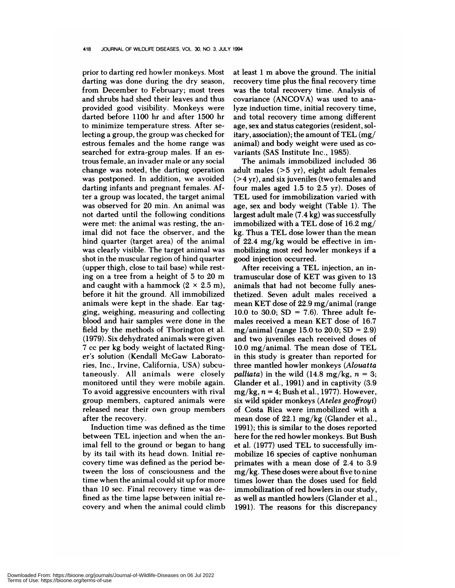prior to darting red howler monkeys. Most darting was done during the dry season, from December to February; most trees and shrubs had shed their leaves and thus provided good visibility. Monkeys were darted before 1 100 hr and after 1500 hr to minimize temperature stress. After selecting a group, the group was checked for estrous females and the home range was searched for extra-group males. If an estrous female, an invader male or any social change was noted, the darting operation was postponed. In addition, we avoided darting infants and pregnant females. Aften a group was located, the target animal was observed for 20 min. An animal was not darted until the following conditions were met: the animal was resting, the animal did not face the observer, and the hind quarter (target area) of the animal was cleanly visible. The target animal was shot in the muscular region of hind quarter (upper thigh, close to tail base) while resting on a tree from a height of 5 to 20 m and caught with a hammock  $(2 \times 2.5 \text{ m})$ , before it hit the ground. All immobilized animals were kept in the shade. Ear tagging, weighing, measuring and collecting blood and hair samples were done in the field by the methods of Thorington et al. (1979). Six dehydrated animals were given 7 cc pen kg body weight of lactated Ringer's solution (Kendall McGaw Laboratories, Inc., Irvine, California, USA) subcutaneously. All animals were closely monitored until they were mobile again. To avoid aggressive encounters with rival group members, captured animals were released near their own group members after the recovery.

Induction time was defined as the time between TEL injection and when the animal fell to the ground or began to hang by its tail with its head down. Initial re covery time was defined as the period between the loss of consciousness and the time when the animal could sit up for more than 10 sec. Final recovery time was defined as the time lapse between initial re covery and when the animal could climb

at least 1 m above the ground. The initial recovery time plus the final recovery time was the total recovery time. Analysis of covaniance (ANCOVA) was used to analyze induction time, initial recovery time, and total recovery time among different age, sex and status categories (resident, so! itary, association); the amount of TEL (mg/ animal) and body weight were used as co variants (SAS Institute Inc., 1985).

The animals immobilized included 36 adult males (>5 yr), eight adult females **(** *>4* yr), and six juveniles (two females and four males aged 1.5 to 2.5 yn). Doses of TEL used for immobilization varied with age, sex and body weight (Table 1). The largest adult male (7.4 kg) was successfully immobilized with a TEL dose of  $16.2 \text{ mg}$ / kg. Thus a TEL dose lower than the mean of 22.4 mg/kg would be effective in immobilizing most red howler monkeys if a good injection occurred.

After receiving a TEL injection, an intramuscular dose of KET was given to 13 animals that had not become fully anesthetized. Seven adult males received a mean KET dose of 22.9 mg/animal (range 10.0 to 30.0;  $SD = 7.6$ ). Three adult females received a mean KET dose of 16.7 mg/animal (range 15.0 to 20.0;  $SD = 2.9$ ) and two juveniles each received doses of 10.0 mg/animal. The mean dose of TEL in this study is greater than reported for three mantled howler monkeys *(Alouatta palliata*) in the wild  $(14.8 \text{ mg/kg}, n = 3;$ Glander et al., 1991) and in captivity (3.9 mg/kg,  $n = 4$ ; Bush et al., 1977). However, six wild spider monkeys *(Ateles geoffroyi)* of Costa Rica were immobilized with a mean dose of  $22.1 \text{ mg/kg}$  (Glander et al., 1991); this is similar to the doses reported here for the red howler monkeys. But Bush et al. (1977) used TEL to successfully immobilize 16 species of captive nonhuman primates with a mean dose of 2.4 to 3.9 mg/kg. These doses were about five to nine times lower than the doses used for field immobilization of red howlers in our study, as well as mantled howlens (Glander et a!., 1991). The reasons for this discrepancy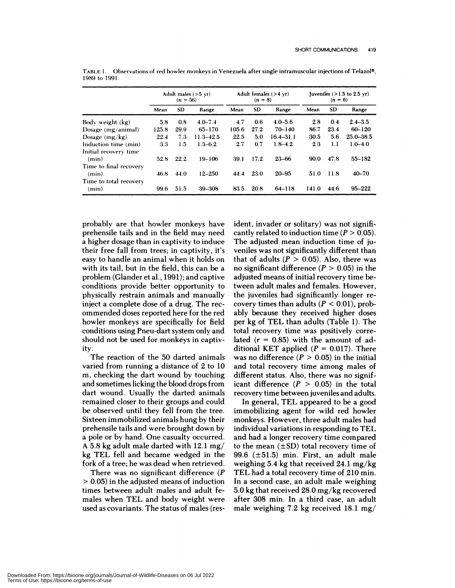|                        | Adult males $(>5 \text{ yr})$<br>$(n = 36)$ |           |               | Adult females $(>4 \text{ yr})$<br>$(n = 8)$ |           |               | Juveniles $(>1.5$ to 2.5 yr)<br>$(n = 6)$ |           |               |
|------------------------|---------------------------------------------|-----------|---------------|----------------------------------------------|-----------|---------------|-------------------------------------------|-----------|---------------|
|                        | Mean                                        | <b>SD</b> | Range         | Mean                                         | <b>SD</b> | Range         | Mean                                      | <b>SD</b> | Range         |
| Body weight (kg)       | 5.8                                         | 0.8       | $4.0 - 7.4$   | 4.7                                          | 0.6       | $4.0 - 5.6$   | 2.8                                       | 0.4       | $2.4 - 3.5$   |
| Dosage $(mg/animal)$   | 125.8                                       | 29.9      | $65 - 170$    | 105.6                                        | 27.2      | $70 - 140$    | 86.7                                      | 23.4      | $60 - 120$    |
| Dosage $(mg/kg)$       | 22.4                                        | 7.3       | $11.3 - 42.5$ | 22.5                                         | 5.0       | $16.4 - 31.1$ | 30.5                                      | 5.6       | $25.0 - 38.5$ |
| Induction time (min)   | 3.3                                         | 1.5       | $1.3 - 6.2$   | 2.7                                          | 0.7       | $1.8 - 4.2$   | 2.3                                       | 1.1       | $1.0 - 4.0$   |
| Initial recovery time  |                                             |           |               |                                              |           |               |                                           |           |               |
| (min)                  | 52.8                                        | 22.2      | $19 - 106$    | 39.1                                         | 17.2      | $23 - 66$     | 90.0                                      | 47.8      | $55 - 182$    |
| Time to final recovery |                                             |           |               |                                              |           |               |                                           |           |               |
| (min)                  | 46.8                                        | 44.0      | $12 - 250$    | 44.4                                         | 23.0      | $20 - 95$     | 51.0                                      | 11.8      | $40 - 70$     |
| Time to total recovery |                                             |           |               |                                              |           |               |                                           |           |               |
| (min)                  | 99.6                                        | 51.5      | 39-308        | 83.5                                         | 20.8      | 64-118        | 141.0                                     | 44.6      | $95 - 222$    |

TABLE 1. Observations of red howler monkeys in Venezuela after single intramuscular injections of Telazol<sup>®</sup>, 1989 to 1991.

probably are that howler monkeys have prehensile tails and in the field may need a higher dosage than in captivity to induce their free fall from trees; in captivity, it's easy to handle an animal when it holds on with its tail, but in the field, this can be a problem (Glanden et a!., 1991); and captive conditions provide better opportunity to physically restrain animals and manually inject a complete dose of a drug. The recommended doses reported here for the red howler monkeys are specifically for field conditions using Pneu-dart system only and should not be used for monkeys in captivity.

The reaction of the 50 darted animals varied from running a distance of 2 to 10 m, checking the dart wound by touching and sometimes licking the blood drops from dart wound. Usually the darted animals remained closer to their groups and could be observed until they fell from the tree. Sixteen immobilized animals hung by their prehensile tails and were brought down by a pole on by hand. One casualty occurred. A 5.8kg adult male darted with 12.1 mg/ kg TEL fell and became wedged in the fork of a tree; he was dead when retrieved.

There was no significant difference *(P* <sup>&</sup>gt; 0.05) in the adjusted means of induction times between adult males and adult females when TEL and body weight were used as covariants. The status of males (resident, invader or solitary) was not significantly related to induction time  $(P > 0.05)$ . The adjusted mean induction time of juveniles was not significantly different than that of adults  $(P > 0.05)$ . Also, there was no significant difference  $(P > 0.05)$  in the adjusted means of initial recovery time between adult males and females. However, the juveniles had significantly longer ne covery times than adults  $(P < 0.01)$ , probably because they received higher doses per kg of TEL than adults (Table 1). The total recovery time was positively correlated  $(r = 0.85)$  with the amount of additional KET applied  $(P = 0.017)$ . There was no difference  $(P > 0.05)$  in the initial and total recovery time among males of different status. Also, there was no significant difference  $(P > 0.05)$  in the total recovery time between juveniles and adults.

In general, TEL appeared to be a good immobilizing agent for wild red howler monkeys. However, three adult males had individual variations in responding to TEL and had a longer recovery time compared to the mean  $(\pm SD)$  total recovery time of 99.6  $(\pm 51.5)$  min. First, an adult male weighing 5.4 kg that received 24.1 mg/kg TEL had a total recovery time of 210 min. In a second case, an adult male weighing 5.0 kg that received 28.0 mg/kg recovered after 308 min. In a third case, an adult male weighing 7.2 kg received 18.1 mg/